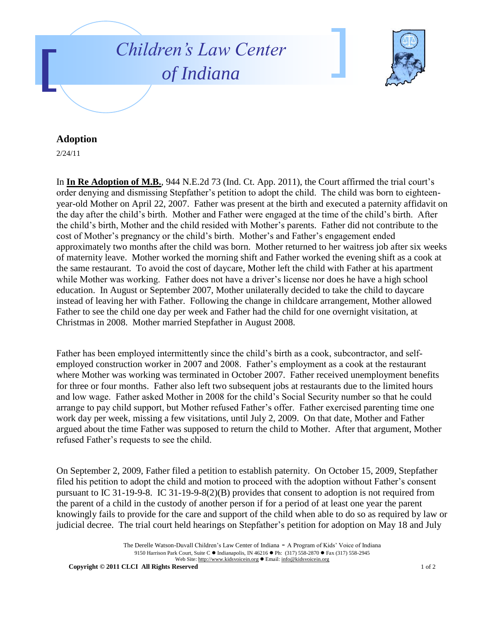



## **Adoption**

2/24/11

In **In Re Adoption of M.B.**, 944 N.E.2d 73 (Ind. Ct. App. 2011), the Court affirmed the trial court's order denying and dismissing Stepfather's petition to adopt the child. The child was born to eighteenyear-old Mother on April 22, 2007. Father was present at the birth and executed a paternity affidavit on the day after the child's birth. Mother and Father were engaged at the time of the child's birth. After the child's birth, Mother and the child resided with Mother's parents. Father did not contribute to the cost of Mother's pregnancy or the child's birth. Mother's and Father's engagement ended approximately two months after the child was born. Mother returned to her waitress job after six weeks of maternity leave. Mother worked the morning shift and Father worked the evening shift as a cook at the same restaurant. To avoid the cost of daycare, Mother left the child with Father at his apartment while Mother was working. Father does not have a driver's license nor does he have a high school education. In August or September 2007, Mother unilaterally decided to take the child to daycare instead of leaving her with Father. Following the change in childcare arrangement, Mother allowed Father to see the child one day per week and Father had the child for one overnight visitation, at Christmas in 2008. Mother married Stepfather in August 2008.

Father has been employed intermittently since the child's birth as a cook, subcontractor, and selfemployed construction worker in 2007 and 2008. Father's employment as a cook at the restaurant where Mother was working was terminated in October 2007. Father received unemployment benefits for three or four months. Father also left two subsequent jobs at restaurants due to the limited hours and low wage. Father asked Mother in 2008 for the child's Social Security number so that he could arrange to pay child support, but Mother refused Father's offer. Father exercised parenting time one work day per week, missing a few visitations, until July 2, 2009. On that date, Mother and Father argued about the time Father was supposed to return the child to Mother. After that argument, Mother refused Father's requests to see the child.

On September 2, 2009, Father filed a petition to establish paternity. On October 15, 2009, Stepfather filed his petition to adopt the child and motion to proceed with the adoption without Father's consent pursuant to IC 31-19-9-8. IC 31-19-9-8(2)(B) provides that consent to adoption is not required from the parent of a child in the custody of another person if for a period of at least one year the parent knowingly fails to provide for the care and support of the child when able to do so as required by law or judicial decree. The trial court held hearings on Stepfather's petition for adoption on May 18 and July